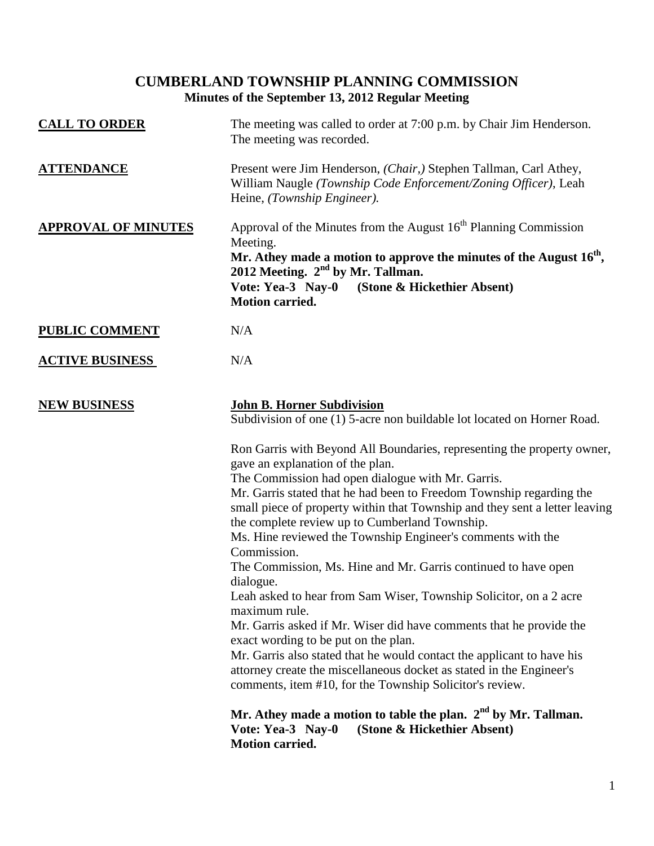## **CUMBERLAND TOWNSHIP PLANNING COMMISSION Minutes of the September 13, 2012 Regular Meeting**

| <b>CALL TO ORDER</b>       | The meeting was called to order at 7:00 p.m. by Chair Jim Henderson.<br>The meeting was recorded.                                                                                                                                                                                                                                                                                                                                                                                                                                                                                                                                                                                                                                                                                                                                                                                                                                                                                                                                                                          |
|----------------------------|----------------------------------------------------------------------------------------------------------------------------------------------------------------------------------------------------------------------------------------------------------------------------------------------------------------------------------------------------------------------------------------------------------------------------------------------------------------------------------------------------------------------------------------------------------------------------------------------------------------------------------------------------------------------------------------------------------------------------------------------------------------------------------------------------------------------------------------------------------------------------------------------------------------------------------------------------------------------------------------------------------------------------------------------------------------------------|
| <b>ATTENDANCE</b>          | Present were Jim Henderson, (Chair,) Stephen Tallman, Carl Athey,<br>William Naugle (Township Code Enforcement/Zoning Officer), Leah<br>Heine, (Township Engineer).                                                                                                                                                                                                                                                                                                                                                                                                                                                                                                                                                                                                                                                                                                                                                                                                                                                                                                        |
| <b>APPROVAL OF MINUTES</b> | Approval of the Minutes from the August $16th$ Planning Commission<br>Meeting.<br>Mr. Athey made a motion to approve the minutes of the August $16th$ ,<br>2012 Meeting. 2 <sup>nd</sup> by Mr. Tallman.<br>Vote: Yea-3 Nay-0 (Stone & Hickethier Absent)<br><b>Motion carried.</b>                                                                                                                                                                                                                                                                                                                                                                                                                                                                                                                                                                                                                                                                                                                                                                                        |
| <b>PUBLIC COMMENT</b>      | N/A                                                                                                                                                                                                                                                                                                                                                                                                                                                                                                                                                                                                                                                                                                                                                                                                                                                                                                                                                                                                                                                                        |
| <b>ACTIVE BUSINESS</b>     | N/A                                                                                                                                                                                                                                                                                                                                                                                                                                                                                                                                                                                                                                                                                                                                                                                                                                                                                                                                                                                                                                                                        |
| <b>NEW BUSINESS</b>        | <b>John B. Horner Subdivision</b><br>Subdivision of one (1) 5-acre non buildable lot located on Horner Road.<br>Ron Garris with Beyond All Boundaries, representing the property owner,<br>gave an explanation of the plan.<br>The Commission had open dialogue with Mr. Garris.<br>Mr. Garris stated that he had been to Freedom Township regarding the<br>small piece of property within that Township and they sent a letter leaving<br>the complete review up to Cumberland Township.<br>Ms. Hine reviewed the Township Engineer's comments with the<br>Commission.<br>The Commission, Ms. Hine and Mr. Garris continued to have open<br>dialogue.<br>Leah asked to hear from Sam Wiser, Township Solicitor, on a 2 acre<br>maximum rule.<br>Mr. Garris asked if Mr. Wiser did have comments that he provide the<br>exact wording to be put on the plan.<br>Mr. Garris also stated that he would contact the applicant to have his<br>attorney create the miscellaneous docket as stated in the Engineer's<br>comments, item #10, for the Township Solicitor's review. |
|                            | Mr. Athey made a motion to table the plan. 2 <sup>nd</sup> by Mr. Tallman.<br>Vote: Yea-3 Nay-0<br>(Stone & Hickethier Absent)<br><b>Motion carried.</b>                                                                                                                                                                                                                                                                                                                                                                                                                                                                                                                                                                                                                                                                                                                                                                                                                                                                                                                   |